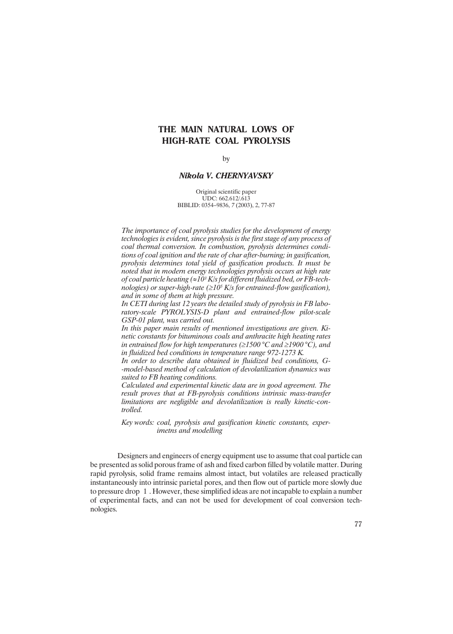# **THE MAIN NATURAL LOWS OF HIGH-RATE COAL PYROLYSIS**

by

## *Nikola V. CHERNYAVSKY*

Original scientific paper UDC: 662.612/.613 BIBLID: 0354–9836, *7* (2003), 2, 77-87

*The importance of coal pyrolysis studies for the development of energy technologies is evident, since pyrolysis is the first stage of any process of coal thermal conversion. In combustion, pyrolysis determines conditions of coal ignition and the rate of char after-burning; in gasification, pyrolysis determines total yield of gasification products. It must be noted that in modern energy technologies pyrolysis occurs at high rate of coal par ti cle heat ing (»10<sup>3</sup> K/s for dif ferent fluidized bed, or FB-tech nol o gies) or super-high-rate (³10<sup>5</sup> K/s for en trained-flow gasi fi ca tion), and in some of them at high pressure.* 

In CETI during last 12 years the detailed study of pyrolysis in FB laboratory-scale PYROLYSIS-D plant and entrained-flow pilot-scale *GSP-01 plant, was carried out.* 

*In this paper main results of mentioned investigations are given. Kinetic constants for bituminous coals and anthracite high heating rates in entrained flow for high temperatures (* $\geq$ *1500 °C and*  $\geq$ 1900 °C), and *in fluidized bed conditions in temperature range 972-1273 K.* 

In order to describe data obtained in fluidized bed conditions, G--model-based method of calculation of devolatilization dynamics was *suited to FB heating conditions.* 

*Calculated and experimental kinetic data are in good agreement. The result proves that at FB-pyrolysis conditions intrinsic mass-transfer limitations are negligible and devolatilization is really kinetic-controlled.*

*Key words: coal, pyrolysis and gasification kinetic constants, experimetns and modelling*

Designers and engineers of energy equipment use to assume that coal particle can be presented as solid porous frame of ash and fixed carbon filled by volatile matter. During rapid pyrolysis, solid frame remains almost intact, but volatiles are released practically instantaneously into intrinsic parietal pores, and then flow out of particle more slowly due to pressure drop 1 . However, these simplified ideas are not incapable to explain a number of experimental facts, and can not be used for development of coal conversion technologies.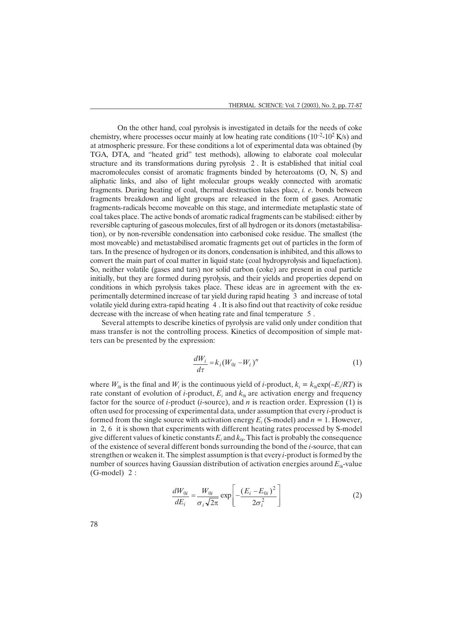On the other hand, coal pyrolysis is investigated in details for the needs of coke chemistry, where processes occur mainly at low heating rate conditions  $(10^{-2}$ - $10^{2}$  K/s) and at atmospheric pressure. For these conditions a lot of experimental data was obtained (by TGA, DTA, and "heated grid" test methods), allowing to elaborate coal molecular structure and its transformations during pyrolysis 2 . It is established that initial coal macromolecules consist of aromatic fragments binded by heteroatoms (O, N, S) and aliphatic links, and also of light molecular groups weakly connected with aromatic fragments. During heating of coal, thermal destruction takes place, *i. e*. bonds between fragments breakdown and light groups are released in the form of gases. Aromatic fragments-radicals become moveable on this stage, and intermediate metaplastic state of coal takes place. The active bonds of aromatic radical fragments can be stabilised: either by reversible capturing of gaseous molecules, first of all hydrogen or its donors (metastabilisation), or by non-reversible condensation into carbonised coke residue. The smallest (the most moveable) and metastabilised aromatic fragments get out of particles in the form of tars. In the presence of hydrogen or its donors, condensation is inhibited, and this allows to convert the main part of coal matter in liquid state (coal hydropyrolysis and liquefaction). So, neither volatile (gases and tars) nor solid carbon (coke) are present in coal particle initially, but they are formed during pyrolysis, and their yields and properties depend on conditions in which pyrolysis takes place. These ideas are in agreement with the experimentally determined increase of tar yield during rapid heating 3 and increase of total volatile yield during extra-rapid heating 4 . It is also find out that reactivity of coke residue decrease with the increase of when heating rate and final temperature 5 .

Several attempts to describe kinetics of pyrolysis are valid only under condition that mass transfer is not the controlling process. Kinetics of decomposition of simple matters can be presented by the expression:

$$
\frac{dW_i}{d\tau} \quad k_i (W_{0i} \quad W_i)^n \tag{1}
$$

where  $W_{0i}$  is the final and  $W_i$  is the continuous yield of *i*-product,  $k_i = k_{0i} \exp(-E_i/RT)$  is rate constant of evolution of *i*-product,  $E_i$  and  $k_{0i}$  are activation energy and frequency factor for the source of *i*-product (*i*-source), and *n* is reaction order. Expression (1) is often used for processing of experimental data, under assumption that every *i*-product is formed from the single source with activation energy  $E_i$  (S-model) and  $n = 1$ . However, in 2, 6 it is shown that experiments with different heating rates processed by S-model give different values of kinetic constants  $E_i$  and  $k_0$ . This fact is probably the consequence of the existence of several different bonds surrounding the bond of the *i*-source, that can strengthen or weaken it. The simplest assumption is that every *i*-product is formed by the number of sources having Gaussian distribution of activation energies around  $E_{0i}$ -value (G-model) 2 :

$$
\frac{dW_{0i}}{dE_i} \quad \frac{W_{0i}}{\sigma_i \sqrt{2\pi}} \exp \quad \frac{(E_i \quad E_{0i})^2}{2\sigma_i^2} \tag{2}
$$

78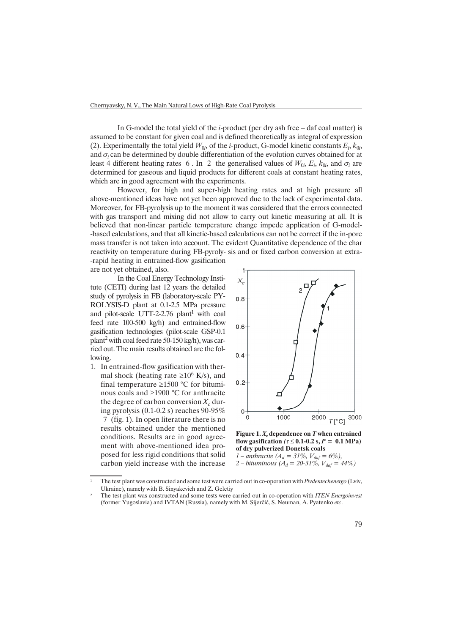In G-model the total yield of the *i*-product (per dry ash free – daf coal matter) is assumed to be constant for given coal and is defined theoretically as integral of expression (2). Experimentally the total yield  $W_{0i}$ , of the *i*-product, G-model kinetic constants  $E_i$ ,  $k_{0i}$ , and  $\sigma_i$  can be determined by double differentiation of the evolution curves obtained for at least 4 different heating rates 6. In 2 the generalised values of  $W_{0i}$ ,  $E_i$ ,  $k_{0i}$ , and  $\sigma_i$  are determined for gaseous and liquid products for different coals at constant heating rates, which are in good agreement with the experiments.

However, for high and super-high heating rates and at high pressure all above-mentioned ideas have not yet been approved due to the lack of experimental data. Moreover, for FB-pyrolysis up to the moment it was considered that the errors connected with gas transport and mixing did not allow to carry out kinetic measuring at all. It is believed that non-linear particle temperature change impede application of G-model- -based calculations, and that all kinetic-based calculations can not be correct if the in-pore mass transfer is not taken into account. The evident Quantitative dependence of the char reactivity on temperature during FB-pyroly- sis and or fixed carbon conversion at extra- -rapid heating in entrained-flow gasification

are not yet obtained, also.

In the Coal Energy Technology Institute (CETI) during last 12 years the detailed study of pyrolysis in FB (laboratory-scale PY-ROLYSIS-D plant at 0.1-2.5 MPa pressure and pilot-scale UTT-2-2.76 plant<sup>1</sup> with coal feed rate 100-500 kg/h) and entrained-flow gasification technologies (pilot-scale GSP-0.1) plant<sup>2</sup> with coal feed rate 50-150 kg/h), was carried out. The main results obtained are the following.

1. In entrained-flow gasification with thermal shock (heating rate  $\geq 10^6$  K/s), and final temperature  $\geq 1500$  °C for bituminous coals and  $\geq$ 1900 °C for anthracite the degree of carbon conversion  $X_c$  during pyrolysis (0.1-0.2 s) reaches  $90-95%$  $7$  (fig. 1). In open literature there is no results obtained under the mentioned conditions. Results are in good agreement with above-mentioned idea proposed for less rigid conditions that solid carbon yield increase with the increase



**Figure 1.** *Xc* **dependence on** *T* **when entrained flow gasification**  $(τ ≤ 0.1-0.2 s, P = 0.1 MPa)$ **of dry pulverized Donetsk coals** *1* – *anthracite* ( $A_d = 31\%$ ,  $V_{daf} = 6\%$ ),

*2 – bituminous (Ad = 20-31%, Vdaf = 44%)*

<sup>1</sup> The test plant was constructed and some test were carried out in co-operation with *Pivdentechenergo* (Lviv, Ukraine), namely with B. Sinyakevich and Z. Geletiy

<sup>2</sup> The test plant was constructed and some tests were carried out in co-operation with *ITEN Energoinvest* (former Yugoslavia) and IVTAN (Russia), namely with M. Sijer~i}, S. Neuman, A. Pyatenko *etc*.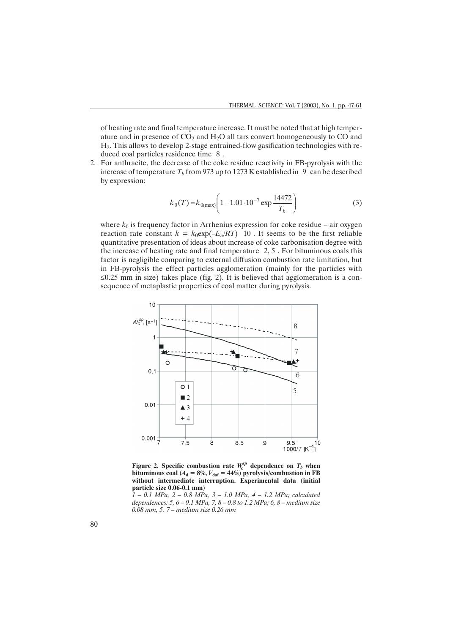of heating rate and final temperature increase. It must be noted that at high temperature and in presence of  $CO_2$  and  $H_2O$  all tars convert homogeneously to CO and  $\rm{H}_{2}.$  This allows to develop 2-stage entrained-flow gasification technologies with reduced coal particles residence time 8.

2. For anthracite, the decrease of the coke residue reactivity in FB-pyrolysis with the increase of temperature  $T_b$  from 973 up to 1273 K established in 9 can be described by expression:

$$
k_0(T)
$$
  $k_{0(\text{max})}$  1 1.01 10<sup>7</sup> exp  $\frac{14472}{T_b}$  (3)

where  $k_0$  is frequency factor in Arrhenius expression for coke residue – air oxygen reaction rate constant  $k = k_0 \exp(-E_a/RT)$  10. It seems to be the first reliable quantitative presentation of ideas about increase of coke carbonisation degree with the increase of heating rate and final temperature  $2, 5$ . For bituminous coals this factor is negligible comparing to external diffusion combustion rate limitation, but in FB-pyrolysis the effect particles agglomeration (mainly for the particles with  $\leq$ 0.25 mm in size) takes place (fig. 2). It is believed that agglomeration is a consequence of metaplastic properties of coal matter during pyrolysis.



Figure 2. Specific combustion rate  $W_c^{sp}$  dependence on  $T_b$  when **bituminous coal**  $(A_d = 8\%, V_{\text{daf}} = 44\%)$  pyrolysis/combustion in FB **without intermediate interruption. Experimental data (initial particle size 0.06-0.1 mm)**

*1 – 0.1 MPa, 2 – 0.8 MPa, 3 – 1.0 MPa, 4 – 1.2 MPa; calculated dependences: 5, 6 – 0.1 MPa, 7, 8 – 0.8 to 1.2 MPa; 6, 8 – medium size 0.08 mm, 5, 7 – medium size 0.26 mm*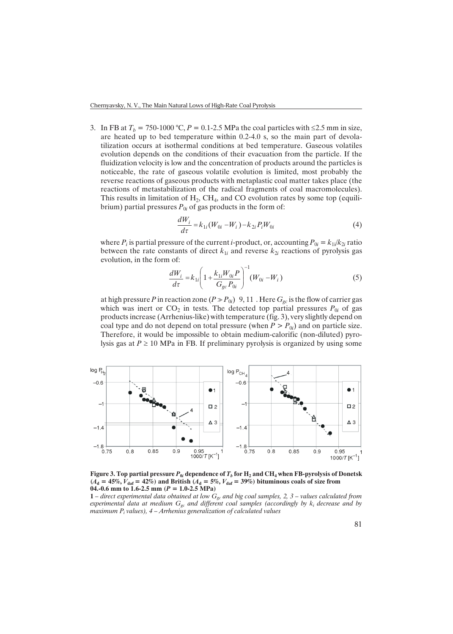3. In FB at  $T_b = 750{\text{-}}1000 \text{ °C}, P = 0.1{\text{-}}2.5 \text{ MPa}$  the coal particles with  $\leq 2.5 \text{ mm}$  in size, are heated up to bed temperature within 0.2-4.0 s, so the main part of devolatilization occurs at isothermal conditions at bed temperature. Gaseous volatiles evolution depends on the conditions of their evacuation from the particle. If the fluidization velocity is low and the concentration of products around the particles is noticeable, the rate of gaseous volatile evolution is limited, most probably the reverse reactions of gaseous products with metaplastic coal matter takes place (the reactions of metastabilization of the radical fragments of coal macromolecules). This results in limitation of  $H_2$ , CH<sub>4</sub>, and CO evolution rates by some top (equilibrium) partial pressures  $P_{0i}$  of gas products in the form of:

$$
\frac{dW_i}{d\tau} \quad k_{1i}(W_{0i} \quad W_i) \quad k_{2i} P_i W_{0i} \tag{4}
$$

where  $P_i$  is partial pressure of the current *i*-product, or, accounting  $P_{0i} = k_{1i}/k_{2i}$  ratio between the rate constants of direct  $k_{1i}$  and reverse  $k_{2i}$  reactions of pyrolysis gas evolution, in the form of: 1

$$
\frac{dW_i}{d\tau} \quad k_{1i} \quad 1 \quad \frac{k_{1i}W_{0i}P}{G_{gc}P_{0i}} \quad (W_{0i} \quad W_i)
$$
\n(5)

at high pressure P in reaction zone  $(P \gg P_{0i})$  9, 11. Here  $G_{gc}$  is the flow of carrier gas which was inert or  $CO_2$  in tests. The detected top partial pressures  $P_{0i}$  of gas products increase (Arrhenius-like) with temperature (fig. 3), very slightly depend on coal type and do not depend on total pressure (when  $P > P_{0i}$ ) and on particle size. Therefore, it would be impossible to obtain medium-calorific (non-diluted) pyrolysis gas at  $P \ge 10$  MPa in FB. If preliminary pyrolysis is organized by using some



**Figure 3. Top partial pressure**  $P_{0i}$  **dependence of**  $T_b$  **for**  $\rm H_2$  **and**  $\rm CH_4$  **when FB-pyrolysis of Donetsk**  $(A_d = 45\%, V_{\text{daf}} = 42\%)$  and British  $(A_d = 5\%, V_{\text{daf}} = 39\%)$  bituminous coals of size from 04.-0.6 mm to 1.6-2.5 mm ( $P = 1.0$ -2.5 MPa)

**1** *– direct experimental data obtained at low Ggc and big coal samples, 2, 3 – values calculated from experimental data at medium Ggc and different coal samples (accordingly by k<sup>i</sup> decrease and by maximum P<sup>i</sup> values), 4 – Arrhenius generalization of calculated values*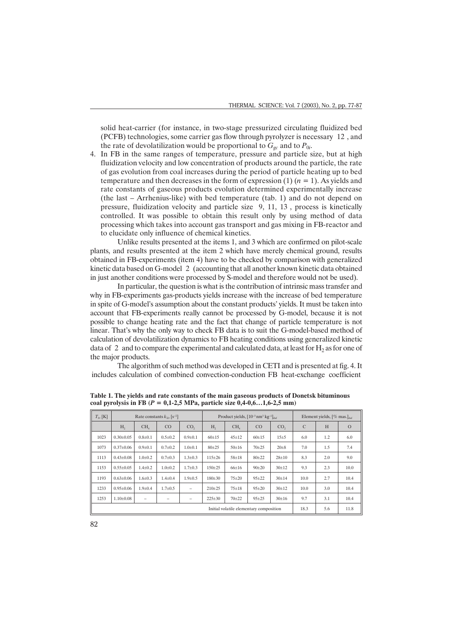solid heat-carrier (for instance, in two-stage pressurized circulating fluidized bed (PCFB) technologies, some carrier gas flow through pyrolyzer is necessary 12 , and the rate of devolatilization would be proportional to  $G_{gc}$  and to  $P_{0i}$ .

4. In FB in the same ranges of temperature, pressure and particle size, but at high fluidization velocity and low concentration of products around the particle, the rate of gas evolution from coal increases during the period of particle heating up to bed temperature and then decreases in the form of expression  $(1)$   $(n = 1)$ . As yields and rate constants of gaseous products evolution determined experimentally increase (the last – Arrhenius-like) with bed temperature (tab. 1) and do not depend on pressure, fluidization velocity and particle size 9, 11, 13, process is kinetically controlled. It was possible to obtain this result only by using method of data processing which takes into account gas transport and gas mixing in FB-reactor and to elucidate only influence of chemical kinetics.

Unlike results presented at the items 1, and 3 which are confirmed on pilot-scale plants, and results presented at the item 2 which have merely chemical ground, results obtained in FB-experiments (item 4) have to be checked by comparison with generalized kinetic data based on G-model 2 (accounting that all another known kinetic data obtained in just another conditions were processed by S-model and therefore would not be used).

In particular, the question is what is the contribution of intrinsic mass transfer and why in FB-experiments gas-products yields increase with the increase of bed temperature in spite of G-model's assumption about the constant products' yields. It must be taken into account that FB-experiments really cannot be processed by G-model, because it is not possible to change heating rate and the fact that change of particle temperature is not linear. That's why the only way to check FB data is to suit the G-model-based method of calculation of devolatilization dynamics to FB heating conditions using generalized kinetic data of 2 and to compare the experimental and calculated data, at least for  $H_2$  as for one of the major products.

The algorithm of such method was developed in CETI and is presented at fig. 4. It includes calculation of combined convection-conduction FB heat-exchange coefficient

| $T_h$ , [K]                             | Rate constants $k_{1i}$ , [s <sup>-1</sup> ] |                          |                          |                          | Product yields, $[10^{-3}$ nm <sup>3</sup> kg <sup>-1</sup> daf |                 |           |                 | Element yields, $[\%$ mas. $]_{\text{def}}$ |     |          |
|-----------------------------------------|----------------------------------------------|--------------------------|--------------------------|--------------------------|-----------------------------------------------------------------|-----------------|-----------|-----------------|---------------------------------------------|-----|----------|
|                                         | H <sub>2</sub>                               | CH <sub>4</sub>          | CO                       | CO <sub>2</sub>          | H <sub>2</sub>                                                  | CH <sub>4</sub> | CO        | CO <sub>2</sub> | $\mathcal{C}$                               | H   | $\Omega$ |
| 1023                                    | $0.30 \pm 0.05$                              | $0.8{\pm}0.1$            | $0.5 \pm 0.2$            | $0.9 \pm 0.1$            | 60±15                                                           | $45 + 12$       | 60±15     | $15 + 5$        | 6.0                                         | 1.2 | 6.0      |
| 1073                                    | $0.37 \pm 0.06$                              | $0.9 + 0.1$              | $0.7 \pm 0.2$            | $1.0{\pm}0.1$            | $80 + 25$                                                       | $50 \pm 16$     | $70 + 25$ | $20 \pm 8$      | 7.0                                         | 1.5 | 7.4      |
| 1113                                    | $0.43 \pm 0.08$                              | $1.0 \pm 0.2$            | $0.7 \pm 0.3$            | $1.3 \pm 0.3$            | $115 \pm 26$                                                    | $58 + 18$       | $80 + 22$ | $28 + 10$       | 8.3                                         | 2.0 | 9.0      |
| 1153                                    | $0.55 \pm 0.05$                              | $1.4 \pm 0.2$            | $1.0 \pm 0.2$            | $1.7 \pm 0.3$            | $150 + 25$                                                      | 66±16           | $90 + 20$ | 30±12           | 9.3                                         | 2.3 | 10.0     |
| 1193                                    | $0.63 \pm 0.06$                              | $1.6 \pm 0.3$            | $1.4 \pm 0.4$            | $1.9 \pm 0.5$            | 180±30                                                          | $75 + 20$       | $95 + 22$ | 30±14           | 10.0                                        | 2.7 | 10.4     |
| 1233                                    | $0.95 \pm 0.06$                              | $1.9 \pm 0.4$            | $1.7 \pm 0.5$            |                          | $210\pm 25$                                                     | $75 + 18$       | $95 + 20$ | 30±12           | 10.0                                        | 3.0 | 10.4     |
| 1253                                    | $1.10 \pm 0.08$                              | $\overline{\phantom{0}}$ | $\overline{\phantom{0}}$ | $\overline{\phantom{0}}$ | $225 \pm 30$                                                    | $70 + 22$       | $95 + 25$ | 30±16           | 9.7                                         | 3.1 | 10.4     |
| Initial volatile elementary composition |                                              |                          |                          |                          |                                                                 |                 |           |                 | 18.3                                        | 5.6 | 11.8     |

**Table 1. The yields and rate constants of the main gaseous products of Donetsk bituminous** coal pyrolysis in FB ( $P = 0,1-2,5$  MPa, particle size  $0,4-0,6...1,6-2,5$  mm)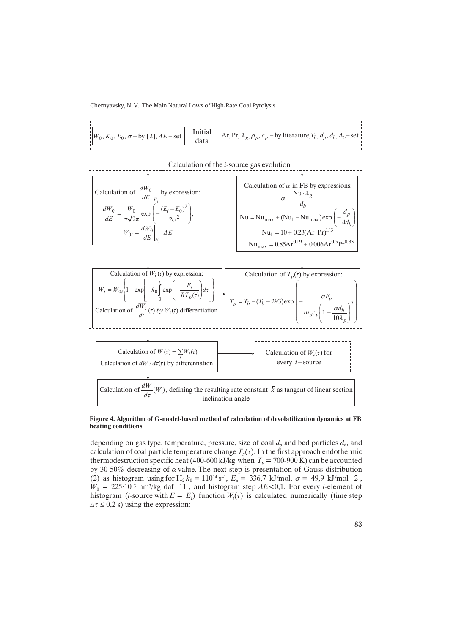Chernyavsky, N. V., The Main Natural Lows of High-Rate Coal Pyrolysis



**Figure 4. Algorithm of G-model-based method of calculation of devolatilization dynamics at FB heating conditions**

depending on gas type, temperature, pressure, size of coal  $d_p$  and bed particles  $d_b$ , and calculation of coal particle temperature change  $T_p(\tau)$ . In the first approach endothermic thermodestruction specific heat (400-600 kJ/kg when  $T_p = 700$ -900 K) can be accounted by 30-50% decreasing of *a* value. The next step is presentation of Gauss distribution (2) as histogram using for  $H_2 k_0 = 110^{14} s^{-1}$ ,  $E_a = 336,7$  kJ/mol,  $\sigma = 49,9$  kJ/mol 2,  $W_0 = 225.10^{-3}$  nm<sup>3</sup>/kg daf 11, and histogram step  $\Delta E < 0,1$ . For every *i*-element of histogram (*i*-source with  $E = E_i$ ) function  $W_i(\tau)$  is calculated numerically (time step  $\Delta \tau \leq 0.2$  s) using the expression: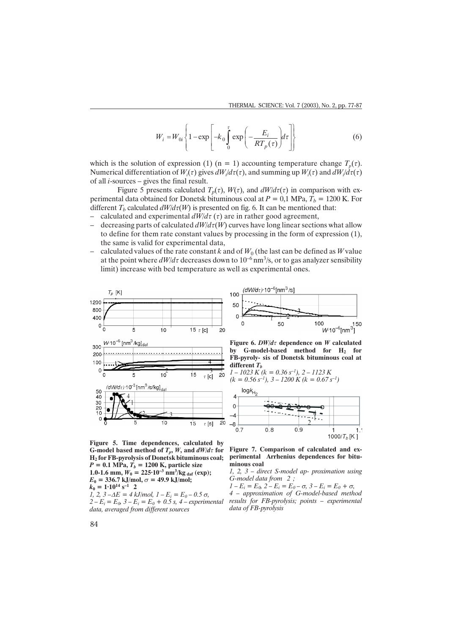$$
W_i \quad W_{0i} \quad 1 \quad \exp \quad k_0 \quad \exp \quad \frac{E_i}{RT_p(\tau)} \, d\tau \tag{6}
$$

which is the solution of expression (1) (n = 1) accounting temperature change  $T_p(\tau)$ . Numerical differentiation of  $W_i(\tau)$  gives  $dW_i/d\tau(\tau)$ , and summing up  $W_i(\tau)$  and  $dW_i/d\tau(\tau)$ of all *i*-sources – gives the final result.

Figure 5 presents calculated  $T_p(\tau)$ ,  $W(\tau)$ , and  $dW/d\tau(\tau)$  in comparison with experimental data obtained for Donetsk bituminous coal at  $P = 0.1 \text{ MPa}$ ,  $T_b = 1200 \text{ K}$ . For different  $T_b$  calculated  $dW/d\tau(W)$  is presented on fig. 6. It can be mentioned that:

- calculated and experimental  $dW/d\tau(\tau)$  are in rather good agreement,
- decreasing parts of calculated  $dW/d\tau(W)$  curves have long linear sections what allow to define for them rate constant values by processing in the form of expression (1), the same is valid for experimental data,
- calculated values of the rate constant  $k$  and of  $W_0$  (the last can be defined as  $W$  value at the point where  $dW/d\tau$  decreases down to  $10^{-6}$  nm<sup>3</sup>/s, or to gas analyzer sensibility limit) increase with bed temperature as well as experimental ones.



**Figure 5. Time dependences, calculated by G-model based method of**  $T_p$ **, W, and**  $dW/d\tau$  **for H<sup>2</sup> for FB-pyrolysis of Donetsk bituminous coal;**  *P* **= 0.1 MPa,** *T<sup>b</sup>*  **= 1200 K, particle size 1.0-1.6** mm,  $W_0 = 225 \cdot 10^{-3}$  nm<sup>3</sup>/kg<sub>daf</sub> (exp);  $E_0 = 336.7 \text{ kJ/mol}, \sigma = 49.9 \text{ kJ/mol};$  $k_0 = 1.10^{14} \text{ s}^{-1}$  **2**  $1, 2, 3 - \Delta E = 4$   $kJ/mol$ ,  $1 - E_i = E_0 - 0.5$   $\sigma$ ,

 $2 - E_i = E_0$ ,  $3 - E_i = E_0 + 0.5$  s,  $4 - experimental$ *data, averaged from different sources*



*1, 2, 3 – direct S-model ap- proximation using G-model data from •2•;*

 $1 - E_i = E_0$ ,  $2 - E_i = E_0 - \sigma$ ,  $3 - E_i = E_0 + \sigma$ , *4 – approximation of G-model-based method results for FB-pyrolysis; points – experimental data of FB-pyrolysis*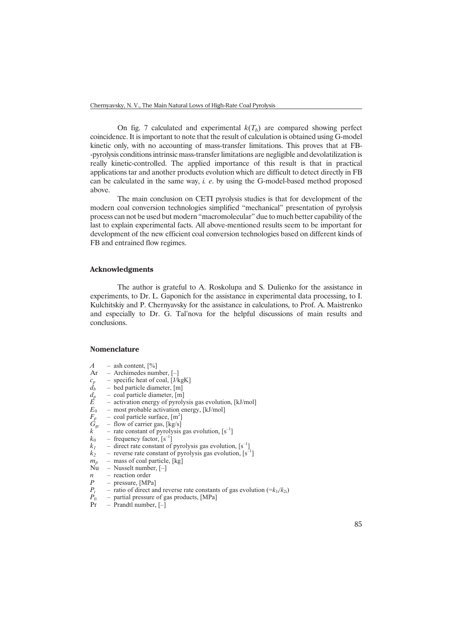On fig. 7 calculated and experimental  $k(T_b)$  are compared showing perfect coincidence. It is important to note that the result of calculation is obtained using G-model kinetic only, with no accounting of mass-transfer limitations. This proves that at FB- -pyrolysis conditions intrinsic mass-transfer limitations are negligible and devolatilization is really kinetic-controlled. The applied importance of this result is that in practical applications tar and another products evolution which are difficult to detect directly in FB can be calculated in the same way, *i. e*. by using the G-model-based method proposed above.

The main conclusion on CETI pyrolysis studies is that for development of the modern coal conversion technologies simplified "mechanical" presentation of pyrolysis process can not be used but modern "macromolecular" due to much better capability of the last to explain experimental facts. All above-mentioned results seem to be important for development of the new efficient coal conversion technologies based on different kinds of FB and entrained flow regimes.

## **Acknowledgments**

The author is grateful to A. Roskolupa and S. Dulienko for the assistance in experiments, to Dr. L. Gaponich for the assistance in experimental data processing, to I. Kulchitskiy and P. Chernyavsky for the assistance in calculations, to Prof. A. Maistrenko and especially to Dr. G. Tal'nova for the helpful discussions of main results and conclusions.

#### **Nomenclature**

- *A* ash content,  $[\%]$
- Ar Archimedes number, [–]
- $c_p$  specific heat of coal, [J/kgK]<br> $d_b$  bed particle diameter, [m]
- $d_b$  bed particle diameter, [m]<br>  $d_p$  coal particle diameter, [m]<br>  $E$  activation energy of pyroly
- coal particle diameter, [m]
- $\vec{E}$  activation energy of pyrolysis gas evolution, [kJ/mol]<br> $E_0$  most probable activation energy, [kJ/mol]
- $E_0$  most probable activation energy, [kJ/mol]<br>  $F_p$  coal particle surface, [m<sup>2</sup>]<br>  $G_{gc}$  flow of carrier gas, [kg/s]
- $\overline{F_p}$  coal particle surface,  $\text{[m}^2\text{]}$
- $\hat{G}_{gc}$  flow of carrier gas, [kg/s]<br> $k$  rate constant of pyrolysis
- rate constant of pyrolysis gas evolution,  $[s^{-1}]$
- $k_0$  frequency factor,  $[s^{-1}]$ <br> $k_1$  direct rate constant of
- direct rate constant of pyrolysis gas evolution,  $[s^{-1}]$
- $k_2$  reverse rate constant of pyrolysis gas evolution,  $[s^{-1}]$ <br> $m_n$  mass of coal particle, [kg]
- $m_p$  mass of coal particle, [kg]<br>Nu Nusselt number, [-]
- Nu Nusselt number, [–]
- $n$  reaction order<br> $P$  pressure, [MPa
- $\begin{bmatrix} P & \text{pressure, [MPa]} \\ P_i & \text{ratio of direct ar} \end{bmatrix}$
- *P<sub>i</sub>* ratio of direct and reverse rate constants of gas evolution (= $k_1/k_2$ )<br>*P<sub>0</sub>* partial pressure of gas products, [MPa]
- $P_0$  partial pressure of gas products, [MPa]<br>Pr Prandtl number.  $[-]$
- $-$  Prandtl number,  $[-]$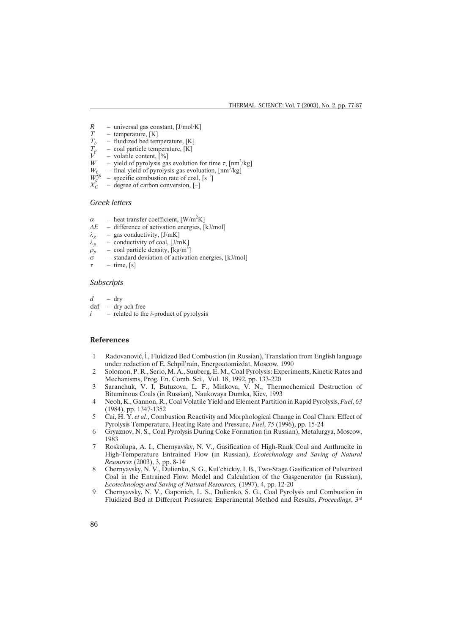- $R$  universal gas constant, [J/mol·K]<br> $T$  temperature, [K]
- $T_{b}$  temperature, [K]<br> $T_{b}$  fluidized bed tem
- 
- $T_b$  fluidized bed temperature, [K]<br>  $T_p$  coal particle temperature, [K]<br>  $V$  volatile content [%] - coal particle temperature, [K]
- $\vec{V}$  volatile content, [%]<br>*W* vield of pyrolysis ga
- *W* yield of pyrolysis gas evolution for time  $\tau$ , [nm<sup>3</sup>/kg]
- $W_0$  final yield of pyrolysis gas evoluation,  $\text{[nm}^3/\text{kg}]$
- $W_c$ <sup>sp</sup> – specific combustion rate of coal,  $[s^{-1}]$
- $\overline{X}_C$  degree of carbon conversion, [–]

## *Greek letters*

- $\alpha$  heat transfer coefficient, [W/m<sup>2</sup>K]
- $\Delta E$  difference of activation energies, [kJ/mol]<br> $\lambda_{\rm g}$  gas conductivity, [J/mK]
- $\lambda_g$  gas conductivity, [J/mK]<br> $\lambda_p$  conductivity of coal, [J/m
- conductivity of coal, [J/mK]
- $\rho_p^{\prime}$  coal particle density, [kg/m<sup>3</sup>]
- $\sigma$  standard deviation of activation energies, [kJ/mol]
- $\tau$  time, [s]

#### *Subscripts*

- $d$  dry
- daf dry ach free
- *i* related to the *i*-product of pyrolysis

## **References**

- 1 Radovanović, Ì., Fluidized Bed Combustion (in Russian), Translation from English language under redaction of E. Schpil'rain, Energoatomizdat, Moscow, 1990
- •2• Solomon, P. R., Serio, M. A., Suuberg, E. M., Coal Pyrolysis: Experiments, Kinetic Rates and Mechanisms, Prog. En. Comb. Sci., Vol. 18, 1992, pp. 133-220
- •3• Saranchuk, V. I, Butuzova, L. F., Minkova, V. N., Thermochemical Destruction of Bituminous Coals (in Russian), Naukovaya Dumka, Kiev, 1993
- •4• Neoh, K., Gannon, R., Coal Volatile Yield and Element Partition in Rapid Pyrolysis, *Fuel*, *63* (1984), pp. 1347-1352
- •5• Cai, H. Y. *et al*., Combustion Reactivity and Morphological Change in Coal Chars: Effect of Pyrolysis Temperature, Heating Rate and Pressure, *Fuel*, *75* (1996), pp. 15-24
- •6• Gryaznov, N. S., Coal Pyrolysis During Coke Formation (in Russian), Metalurgya, Moscow, 1983
- •7• Roskolupa, A. I., Chernyavsky, N. V., Gasification of High-Rank Coal and Anthracite in High-Temperature Entrained Flow (in Russian), *Ecotechnology and Saving of Natural Resources* (2003), 3, pp. 8-14
- •8• Chernyavsky, N. V., Dulienko, S. G., Kul'chickiy, I. B., Two-Stage Gasification of Pulverized Coal in the Entrained Flow: Model and Calculation of the Gasgenerator (in Russian), *Ecotechnology and Saving of Natural Resources,* (1997), 4, pp. 12-20
- •9• Chernyavsky, N. V., Gaponich, L. S., Dulienko, S. G., Coal Pyrolysis and Combustion in Fluidized Bed at Different Pressures: Experimental Method and Results, *Proceedings*, 3rd